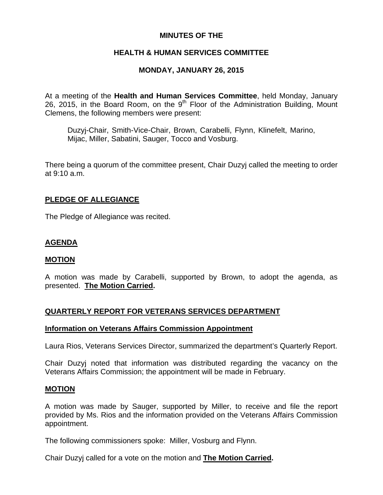## **MINUTES OF THE**

## **HEALTH & HUMAN SERVICES COMMITTEE**

## **MONDAY, JANUARY 26, 2015**

At a meeting of the **Health and Human Services Committee**, held Monday, January 26, 2015, in the Board Room, on the  $9<sup>th</sup>$  Floor of the Administration Building, Mount Clemens, the following members were present:

Duzyj-Chair, Smith-Vice-Chair, Brown, Carabelli, Flynn, Klinefelt, Marino, Mijac, Miller, Sabatini, Sauger, Tocco and Vosburg.

There being a quorum of the committee present, Chair Duzyj called the meeting to order at 9:10 a.m.

### **PLEDGE OF ALLEGIANCE**

The Pledge of Allegiance was recited.

## **AGENDA**

#### **MOTION**

A motion was made by Carabelli, supported by Brown, to adopt the agenda, as presented. **The Motion Carried.** 

## **QUARTERLY REPORT FOR VETERANS SERVICES DEPARTMENT**

#### **Information on Veterans Affairs Commission Appointment**

Laura Rios, Veterans Services Director, summarized the department's Quarterly Report.

Chair Duzyj noted that information was distributed regarding the vacancy on the Veterans Affairs Commission; the appointment will be made in February.

#### **MOTION**

A motion was made by Sauger, supported by Miller, to receive and file the report provided by Ms. Rios and the information provided on the Veterans Affairs Commission appointment.

The following commissioners spoke: Miller, Vosburg and Flynn.

Chair Duzyj called for a vote on the motion and **The Motion Carried.**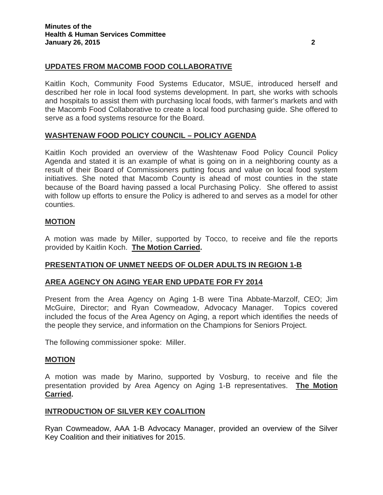## **UPDATES FROM MACOMB FOOD COLLABORATIVE**

Kaitlin Koch, Community Food Systems Educator, MSUE, introduced herself and described her role in local food systems development. In part, she works with schools and hospitals to assist them with purchasing local foods, with farmer's markets and with the Macomb Food Collaborative to create a local food purchasing guide. She offered to serve as a food systems resource for the Board.

### **WASHTENAW FOOD POLICY COUNCIL – POLICY AGENDA**

Kaitlin Koch provided an overview of the Washtenaw Food Policy Council Policy Agenda and stated it is an example of what is going on in a neighboring county as a result of their Board of Commissioners putting focus and value on local food system initiatives. She noted that Macomb County is ahead of most counties in the state because of the Board having passed a local Purchasing Policy. She offered to assist with follow up efforts to ensure the Policy is adhered to and serves as a model for other counties.

## **MOTION**

A motion was made by Miller, supported by Tocco, to receive and file the reports provided by Kaitlin Koch. **The Motion Carried.** 

## **PRESENTATION OF UNMET NEEDS OF OLDER ADULTS IN REGION 1-B**

#### **AREA AGENCY ON AGING YEAR END UPDATE FOR FY 2014**

Present from the Area Agency on Aging 1-B were Tina Abbate-Marzolf, CEO; Jim McGuire, Director; and Ryan Cowmeadow, Advocacy Manager. Topics covered included the focus of the Area Agency on Aging, a report which identifies the needs of the people they service, and information on the Champions for Seniors Project.

The following commissioner spoke: Miller.

#### **MOTION**

A motion was made by Marino, supported by Vosburg, to receive and file the presentation provided by Area Agency on Aging 1-B representatives. **The Motion Carried.** 

#### **INTRODUCTION OF SILVER KEY COALITION**

Ryan Cowmeadow, AAA 1-B Advocacy Manager, provided an overview of the Silver Key Coalition and their initiatives for 2015.